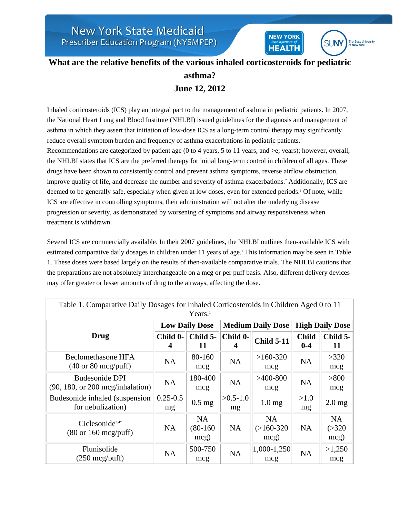

**NEW YORK** 

**HEALTH** 

Inhaled corticosteroids (ICS) play an integral part to the management of asthma in pediatric patients. In 2007, the National Heart Lung and Blood Institute (NHLBI) issued guidelines for the diagnosis and management of asthma in which they assert that initiation of low-dose ICS as a long-term control therapy may significantly reduce overall symptom burden and frequency of asthma exacerbations in pediatric patients.<sup>1</sup> Recommendations are categorized by patient age (0 to 4 years, 5 to 11 years, and >e; years); however, overall, the NHLBI states that ICS are the preferred therapy for initial long-term control in children of all ages. These drugs have been shown to consistently control and prevent asthma symptoms, reverse airflow obstruction, improve quality of life, and decrease the number and severity of asthma exacerbations.<sup>2</sup> Additionally, ICS are deemed to be generally safe, especially when given at low doses, even for extended periods.<sup>1</sup> Of note, while ICS are effective in controlling symptoms, their administration will not alter the underlying disease progression or severity, as demonstrated by worsening of symptoms and airway responsiveness when treatment is withdrawn.

Several ICS are commercially available. In their 2007 guidelines, the NHLBI outlines then-available ICS with estimated comparative daily dosages in children under 11 years of age.<sup>1</sup> This information may be seen in Table 1. These doses were based largely on the results of then-available comparative trials. The NHLBI cautions that the preparations are not absolutely interchangeable on a mcg or per puff basis. Also, different delivery devices may offer greater or lesser amounts of drug to the airways, affecting the dose.

| Table 1. Comparative Daily Dosages for Inhaled Corticosteroids in Children Aged 0 to 11<br>Years. <sup>1</sup> |                       |                                 |                  |                                   |                         |                               |
|----------------------------------------------------------------------------------------------------------------|-----------------------|---------------------------------|------------------|-----------------------------------|-------------------------|-------------------------------|
| Drug                                                                                                           | <b>Low Daily Dose</b> |                                 |                  | <b>Medium Daily Dose</b>          | <b>High Daily Dose</b>  |                               |
|                                                                                                                | Child 0-<br>4         | Child 5-<br>11                  | Child 0-         | <b>Child 5-11</b>                 | <b>Child</b><br>$0 - 4$ | Child 5-<br>11                |
| Beclomethasone HFA<br>$(40 \text{ or } 80 \text{ mcg}/\text{puff})$                                            | NA                    | 80-160<br>mcg                   | <b>NA</b>        | $>160-320$<br>mcg                 | <b>NA</b>               | >320<br>mcg                   |
| Budesonide DPI<br>$(90, 180, \text{ or } 200 \text{ meg/inhalation})$                                          | <b>NA</b>             | 180-400<br>mcg                  | <b>NA</b>        | $>400-800$<br>mcg                 | <b>NA</b>               | > 800<br>mcg                  |
| Budesonide inhaled (suspension)<br>for nebulization)                                                           | $0.25 - 0.5$<br>mg    | $0.5$ mg                        | $>0.5-1.0$<br>mg | 1.0 <sub>mg</sub>                 | >1.0<br>mg              | $2.0$ mg                      |
| Ciclesonide <sup>3,4*</sup><br>$(80 \text{ or } 160 \text{ mcg}/\text{puff})$                                  | <b>NA</b>             | <b>NA</b><br>$(80-160)$<br>mcg) | <b>NA</b>        | <b>NA</b><br>$(>160-320)$<br>mcg) | <b>NA</b>               | <b>NA</b><br>( > 320)<br>mcg) |
| Flunisolide<br>$(250 \text{ mcg}/\text{puff})$                                                                 | <b>NA</b>             | 500-750<br>mcg                  | <b>NA</b>        | $1,000-1,250$<br>mcg              | <b>NA</b>               | >1,250<br>mcg                 |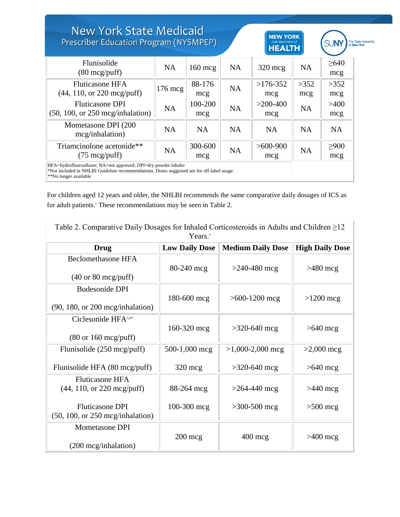| <b>New York State Medicaid</b><br>Prescriber Education Program (NYSMPEP)                                                                                                              |                   |                  |           | <b>NEW YORK</b><br>state department of<br><b>HEALTH</b> |             |                   | The State University<br>of New York |
|---------------------------------------------------------------------------------------------------------------------------------------------------------------------------------------|-------------------|------------------|-----------|---------------------------------------------------------|-------------|-------------------|-------------------------------------|
| Flunisolide<br>$(80 \text{ mcg} / \text{puff})$                                                                                                                                       | <b>NA</b>         | $160 \text{ mc}$ | <b>NA</b> | $320$ mcg                                               | <b>NA</b>   | >640<br>mcg       |                                     |
| <b>Fluticasone HFA</b><br>$(44, 110, or 220 \text{ mcg}/\text{puff})$                                                                                                                 | $176 \text{~mag}$ | 88-176<br>mcg    | <b>NA</b> | $>176-352$<br>mcg                                       | >352<br>mcg | >352<br>mcg       |                                     |
| <b>Fluticasone DPI</b><br>$(50, 100, \text{or } 250 \text{~mag/inhalation})$                                                                                                          | <b>NA</b>         | 100-200<br>mcg   | <b>NA</b> | $>200-400$<br>mcg                                       | <b>NA</b>   | >400<br>mcg       |                                     |
| Mometasone DPI (200<br>mcg/inhalation)                                                                                                                                                | <b>NA</b>         | <b>NA</b>        | <b>NA</b> | <b>NA</b>                                               | <b>NA</b>   | <b>NA</b>         |                                     |
| Triamcinolone acetonide**<br>$(75 \text{ mcg}/\text{puff})$                                                                                                                           | <b>NA</b>         | 300-600<br>mcg   | <b>NA</b> | $>600-900$<br>mcg                                       | <b>NA</b>   | $\geq 900$<br>mcg |                                     |
| HFA=hydrofluoroalkane; NA=not approved; DPI=dry powder inhaler<br>*Not included in NHLBI Guideline recommendations. Doses suggested are for off-label usage.<br>**No longer available |                   |                  |           |                                                         |             |                   |                                     |

For children aged 12 years and older, the NHLBI recommends the same comparative daily dosages of ICS as for adult patients.<sup>1</sup> These recommendations may be seen in Table 2.

| Table 2. Comparative Daily Dosages for Inhaled Corticosteroids in Adults and Children $\geq$ 12<br>Years. <sup>1</sup> |                       |                          |                        |  |  |
|------------------------------------------------------------------------------------------------------------------------|-----------------------|--------------------------|------------------------|--|--|
| Drug                                                                                                                   | <b>Low Daily Dose</b> | <b>Medium Daily Dose</b> | <b>High Daily Dose</b> |  |  |
| <b>Beclomethasone HFA</b><br>$(40 \text{ or } 80 \text{ mcg}/\text{puff})$                                             | 80-240 mcg            | $>240-480$ mcg           | $>480$ mcg             |  |  |
| <b>Budesonide DPI</b><br>$(90, 180, \text{ or } 200 \text{ meg/inhalation})$                                           | 180-600 mcg           | $>600-1200$ mcg          | $>1200$ mcg            |  |  |
| Ciclesonide $HFA^{3,4*}$<br>$(80 \text{ or } 160 \text{ mcg}/\text{puff})$                                             | 160-320 mcg           | $>320-640$ mcg           | $>640$ mcg             |  |  |
| Flunisolide $(250 \text{ mcg}/\text{puff})$                                                                            | 500-1,000 mcg         | $>1,000-2,000$ mcg       | $>2,000$ mcg           |  |  |
| Flunisolide HFA (80 mcg/puff)                                                                                          | $320 \text{ mg}$      | $>320-640$ mcg           | $>640$ mcg             |  |  |
| <b>Fluticasone HFA</b><br>$(44, 110, or 220 \text{ mcg}/\text{puff})$                                                  | 88-264 mcg            | $>264-440$ mcg           | $>440$ mcg             |  |  |
| <b>Fluticasone DPI</b><br>(50, 100, or 250 mg/inhalation)                                                              | 100-300 mcg           | $>300-500$ mcg           | $>500$ mcg             |  |  |
| <b>Mometasone DPI</b><br>(200 mcg/inhalation)                                                                          | $200$ mcg             | $400 \text{~mg}$         | $>400$ mcg             |  |  |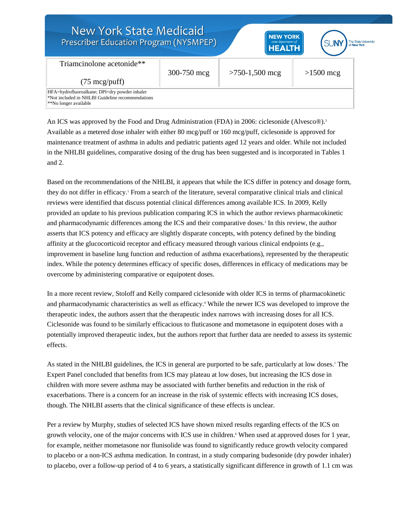| <b>New York State Medicaid</b><br>Prescriber Education Program (NYSMPEP)                                                                                                 |             | <b>NEW YORK</b><br>state department of<br><b>HEALTH</b> | The State University<br>of New York |
|--------------------------------------------------------------------------------------------------------------------------------------------------------------------------|-------------|---------------------------------------------------------|-------------------------------------|
| Triamcinolone acetonide**                                                                                                                                                | 300-750 mcg | $>750-1,500$ mcg                                        | $>1500$ mcg                         |
| $(75 \text{ mcg}/\text{puff})$<br>HFA=hydrofluoroalkane; DPI=dry powder inhaler<br>*Not included in NHLBI Guideline recommendations<br><sup>**</sup> No longer available |             |                                                         |                                     |

An ICS was approved by the Food and Drug Administration (FDA) in 2006: ciclesonide (Alvesco®).<sup>5</sup> Available as a metered dose inhaler with either 80 mcg/puff or 160 mcg/puff, ciclesonide is approved for maintenance treatment of asthma in adults and pediatric patients aged 12 years and older. While not included in the NHLBI guidelines, comparative dosing of the drug has been suggested and is incorporated in Tables 1 and 2.

Based on the recommendations of the NHLBI, it appears that while the ICS differ in potency and dosage form, they do not differ in efficacy.<sup>1</sup> From a search of the literature, several comparative clinical trials and clinical reviews were identified that discuss potential clinical differences among available ICS. In 2009, Kelly provided an update to his previous publication comparing ICS in which the author reviews pharmacokinetic and pharmacodynamic differences among the ICS and their comparative doses.<sup>3</sup> In this review, the author asserts that ICS potency and efficacy are slightly disparate concepts, with potency defined by the binding affinity at the glucocorticoid receptor and efficacy measured through various clinical endpoints (e.g., improvement in baseline lung function and reduction of asthma exacerbations), represented by the therapeutic index. While the potency determines efficacy of specific doses, differences in efficacy of medications may be overcome by administering comparative or equipotent doses.

In a more recent review, Stoloff and Kelly compared ciclesonide with older ICS in terms of pharmacokinetic and pharmacodynamic characteristics as well as efficacy.<sup>4</sup> While the newer ICS was developed to improve the therapeutic index, the authors assert that the therapeutic index narrows with increasing doses for all ICS. Ciclesonide was found to be similarly efficacious to fluticasone and mometasone in equipotent doses with a potentially improved therapeutic index, but the authors report that further data are needed to assess its systemic effects.

As stated in the NHLBI guidelines, the ICS in general are purported to be safe, particularly at low doses.<sup>1</sup> The Expert Panel concluded that benefits from ICS may plateau at low doses, but increasing the ICS dose in children with more severe asthma may be associated with further benefits and reduction in the risk of exacerbations. There is a concern for an increase in the risk of systemic effects with increasing ICS doses, though. The NHLBI asserts that the clinical significance of these effects is unclear.

Per a review by Murphy, studies of selected ICS have shown mixed results regarding effects of the ICS on growth velocity, one of the major concerns with ICS use in children.<sup>6</sup> When used at approved doses for 1 year, for example, neither mometasone nor flunisolide was found to significantly reduce growth velocity compared to placebo or a non-ICS asthma medication. In contrast, in a study comparing budesonide (dry powder inhaler) to placebo, over a follow-up period of 4 to 6 years, a statistically significant difference in growth of 1.1 cm was